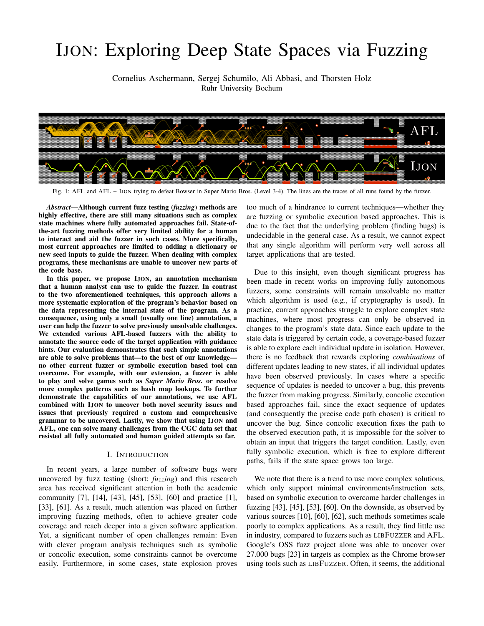# IJON: Exploring Deep State Spaces via Fuzzing

Cornelius Aschermann, Sergej Schumilo, Ali Abbasi, and Thorsten Holz Ruhr University Bochum



Fig. 1: AFL and AFL + IJON trying to defeat Bowser in Super Mario Bros. (Level 3-4). The lines are the traces of all runs found by the fuzzer.

*Abstract*—Although current fuzz testing (*fuzzing*) methods are highly effective, there are still many situations such as complex state machines where fully automated approaches fail. State-ofthe-art fuzzing methods offer very limited ability for a human to interact and aid the fuzzer in such cases. More specifically, most current approaches are limited to adding a dictionary or new seed inputs to guide the fuzzer. When dealing with complex programs, these mechanisms are unable to uncover new parts of the code base.

In this paper, we propose IJON, an annotation mechanism that a human analyst can use to guide the fuzzer. In contrast to the two aforementioned techniques, this approach allows a more systematic exploration of the program's behavior based on the data representing the internal state of the program. As a consequence, using only a small (usually one line) annotation, a user can help the fuzzer to solve previously unsolvable challenges. We extended various AFL-based fuzzers with the ability to annotate the source code of the target application with guidance hints. Our evaluation demonstrates that such simple annotations are able to solve problems that—to the best of our knowledge no other current fuzzer or symbolic execution based tool can overcome. For example, with our extension, a fuzzer is able to play and solve games such as *Super Mario Bros.* or resolve more complex patterns such as hash map lookups. To further demonstrate the capabilities of our annotations, we use AFL combined with IJON to uncover both novel security issues and issues that previously required a custom and comprehensive grammar to be uncovered. Lastly, we show that using IJON and AFL, one can solve many challenges from the CGC data set that resisted all fully automated and human guided attempts so far.

#### I. INTRODUCTION

In recent years, a large number of software bugs were uncovered by fuzz testing (short: *fuzzing*) and this research area has received significant attention in both the academic community [7], [14], [43], [45], [53], [60] and practice [1], [33], [61]. As a result, much attention was placed on further improving fuzzing methods, often to achieve greater code coverage and reach deeper into a given software application. Yet, a significant number of open challenges remain: Even with clever program analysis techniques such as symbolic or concolic execution, some constraints cannot be overcome easily. Furthermore, in some cases, state explosion proves

too much of a hindrance to current techniques—whether they are fuzzing or symbolic execution based approaches. This is due to the fact that the underlying problem (finding bugs) is undecidable in the general case. As a result, we cannot expect that any single algorithm will perform very well across all target applications that are tested.

Due to this insight, even though significant progress has been made in recent works on improving fully autonomous fuzzers, some constraints will remain unsolvable no matter which algorithm is used (e.g., if cryptography is used). In practice, current approaches struggle to explore complex state machines, where most progress can only be observed in changes to the program's state data. Since each update to the state data is triggered by certain code, a coverage-based fuzzer is able to explore each individual update in isolation. However, there is no feedback that rewards exploring *combinations* of different updates leading to new states, if all individual updates have been observed previously. In cases where a specific sequence of updates is needed to uncover a bug, this prevents the fuzzer from making progress. Similarly, concolic execution based approaches fail, since the exact sequence of updates (and consequently the precise code path chosen) is critical to uncover the bug. Since concolic execution fixes the path to the observed execution path, it is impossible for the solver to obtain an input that triggers the target condition. Lastly, even fully symbolic execution, which is free to explore different paths, fails if the state space grows too large.

We note that there is a trend to use more complex solutions, which only support minimal environments/instruction sets, based on symbolic execution to overcome harder challenges in fuzzing  $[43]$ ,  $[45]$ ,  $[53]$ ,  $[60]$ . On the downside, as observed by various sources [10], [60], [62], such methods sometimes scale poorly to complex applications. As a result, they find little use in industry, compared to fuzzers such as LIBFUZZER and AFL. Google's OSS fuzz project alone was able to uncover over 27.000 bugs [23] in targets as complex as the Chrome browser using tools such as LIBFUZZER. Often, it seems, the additional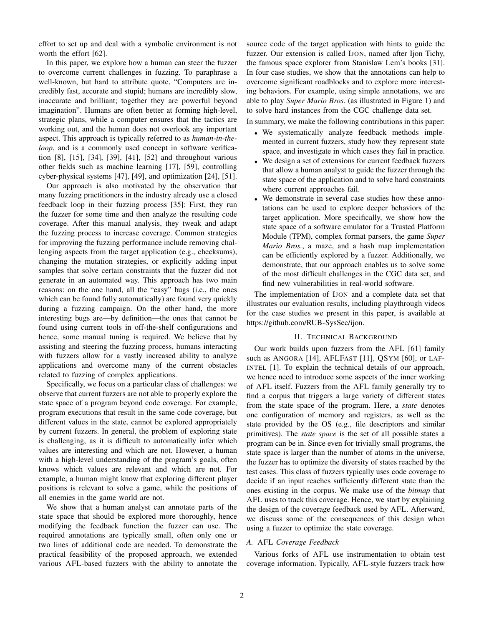effort to set up and deal with a symbolic environment is not worth the effort [62].

In this paper, we explore how a human can steer the fuzzer to overcome current challenges in fuzzing. To paraphrase a well-known, but hard to attribute quote, "Computers are incredibly fast, accurate and stupid; humans are incredibly slow, inaccurate and brilliant; together they are powerful beyond imagination". Humans are often better at forming high-level, strategic plans, while a computer ensures that the tactics are working out, and the human does not overlook any important aspect. This approach is typically referred to as *human-in-theloop*, and is a commonly used concept in software verification [8], [15], [34], [39], [41], [52] and throughout various other fields such as machine learning [17], [59], controlling cyber-physical systems [47], [49], and optimization [24], [51].

Our approach is also motivated by the observation that many fuzzing practitioners in the industry already use a closed feedback loop in their fuzzing process [35]: First, they run the fuzzer for some time and then analyze the resulting code coverage. After this manual analysis, they tweak and adapt the fuzzing process to increase coverage. Common strategies for improving the fuzzing performance include removing challenging aspects from the target application (e.g., checksums), changing the mutation strategies, or explicitly adding input samples that solve certain constraints that the fuzzer did not generate in an automated way. This approach has two main reasons: on the one hand, all the "easy" bugs (i.e., the ones which can be found fully automatically) are found very quickly during a fuzzing campaign. On the other hand, the more interesting bugs are—by definition—the ones that cannot be found using current tools in off-the-shelf configurations and hence, some manual tuning is required. We believe that by assisting and steering the fuzzing process, humans interacting with fuzzers allow for a vastly increased ability to analyze applications and overcome many of the current obstacles related to fuzzing of complex applications.

Specifically, we focus on a particular class of challenges: we observe that current fuzzers are not able to properly explore the state space of a program beyond code coverage. For example, program executions that result in the same code coverage, but different values in the state, cannot be explored appropriately by current fuzzers. In general, the problem of exploring state is challenging, as it is difficult to automatically infer which values are interesting and which are not. However, a human with a high-level understanding of the program's goals, often knows which values are relevant and which are not. For example, a human might know that exploring different player positions is relevant to solve a game, while the positions of all enemies in the game world are not.

We show that a human analyst can annotate parts of the state space that should be explored more thoroughly, hence modifying the feedback function the fuzzer can use. The required annotations are typically small, often only one or two lines of additional code are needed. To demonstrate the practical feasibility of the proposed approach, we extended various AFL-based fuzzers with the ability to annotate the source code of the target application with hints to guide the fuzzer. Our extension is called IJON, named after Ijon Tichy, the famous space explorer from Stanislaw Lem's books [31]. In four case studies, we show that the annotations can help to overcome significant roadblocks and to explore more interesting behaviors. For example, using simple annotations, we are able to play *Super Mario Bros.* (as illustrated in Figure 1) and to solve hard instances from the CGC challenge data set.

In summary, we make the following contributions in this paper:

- We systematically analyze feedback methods implemented in current fuzzers, study how they represent state space, and investigate in which cases they fail in practice.
- We design a set of extensions for current feedback fuzzers that allow a human analyst to guide the fuzzer through the state space of the application and to solve hard constraints where current approaches fail.
- We demonstrate in several case studies how these annotations can be used to explore deeper behaviors of the target application. More specifically, we show how the state space of a software emulator for a Trusted Platform Module (TPM), complex format parsers, the game *Super Mario Bros.*, a maze, and a hash map implementation can be efficiently explored by a fuzzer. Additionally, we demonstrate, that our approach enables us to solve some of the most difficult challenges in the CGC data set, and find new vulnerabilities in real-world software.

The implementation of IJON and a complete data set that illustrates our evaluation results, including playthrough videos for the case studies we present in this paper, is available at https://github.com/RUB-SysSec/ijon.

## II. TECHNICAL BACKGROUND

Our work builds upon fuzzers from the AFL [61] family such as ANGORA [14], AFLFAST [11], QSYM [60], or LAF-INTEL [1]. To explain the technical details of our approach, we hence need to introduce some aspects of the inner working of AFL itself. Fuzzers from the AFL family generally try to find a corpus that triggers a large variety of different states from the state space of the program. Here, a *state* denotes one configuration of memory and registers, as well as the state provided by the OS (e.g., file descriptors and similar primitives). The *state space* is the set of all possible states a program can be in. Since even for trivially small programs, the state space is larger than the number of atoms in the universe, the fuzzer has to optimize the diversity of states reached by the test cases. This class of fuzzers typically uses code coverage to decide if an input reaches sufficiently different state than the ones existing in the corpus. We make use of the *bitmap* that AFL uses to track this coverage. Hence, we start by explaining the design of the coverage feedback used by AFL. Afterward, we discuss some of the consequences of this design when using a fuzzer to optimize the state coverage.

## *A.* AFL *Coverage Feedback*

Various forks of AFL use instrumentation to obtain test coverage information. Typically, AFL-style fuzzers track how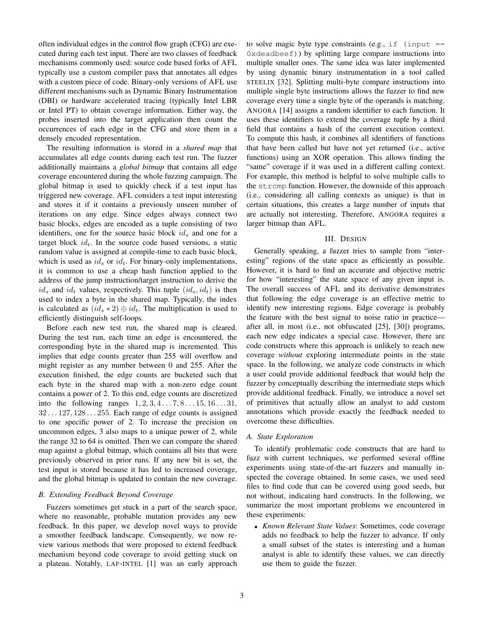often individual edges in the control flow graph (CFG) are executed during each test input. There are two classes of feedback mechanisms commonly used: source code based forks of AFL typically use a custom compiler pass that annotates all edges with a custom piece of code. Binary-only versions of AFL use different mechanisms such as Dynamic Binary Instrumentation (DBI) or hardware accelerated tracing (typically Intel LBR or Intel PT) to obtain coverage information. Either way, the probes inserted into the target application then count the occurrences of each edge in the CFG and store them in a densely encoded representation.

The resulting information is stored in a *shared map* that accumulates all edge counts during each test run. The fuzzer additionally maintains a *global bitmap* that contains all edge coverage encountered during the whole fuzzing campaign. The global bitmap is used to quickly check if a test input has triggered new coverage. AFL considers a test input interesting and stores it if it contains a previously unseen number of iterations on any edge. Since edges always connect two basic blocks, edges are encoded as a tuple consisting of two identifiers, one for the source basic block  $id_s$  and one for a target block  $id_t$ . In the source code based versions, a static random value is assigned at compile-time to each basic block, which is used as  $id_s$  or  $id_t$ . For binary-only implementations, it is common to use a cheap hash function applied to the address of the jump instruction/target instruction to derive the  $id_s$  and  $id_t$  values, respectively. This tuple  $(id_s, id_t)$  is then used to index a byte in the shared map. Typically, the index is calculated as  $(id_s * 2) \oplus id_t$ . The multiplication is used to efficiently distinguish self-loops.

Before each new test run, the shared map is cleared. During the test run, each time an edge is encountered, the corresponding byte in the shared map is incremented. This implies that edge counts greater than 255 will overflow and might register as any number between 0 and 255. After the execution finished, the edge counts are bucketed such that each byte in the shared map with a non-zero edge count contains a power of 2. To this end, edge counts are discretized into the following ranges  $1, 2, 3, 4...7, 8...15, 16...31$ ,  $32 \dots 127, 128 \dots 255$ . Each range of edge counts is assigned to one specific power of 2. To increase the precision on uncommon edges, 3 also maps to a unique power of 2, while the range 32 to 64 is omitted. Then we can compare the shared map against a global bitmap, which contains all bits that were previously observed in prior runs. If any new bit is set, the test input is stored because it has led to increased coverage, and the global bitmap is updated to contain the new coverage.

#### *B. Extending Feedback Beyond Coverage*

Fuzzers sometimes get stuck in a part of the search space, where no reasonable, probable mutation provides any new feedback. In this paper, we develop novel ways to provide a smoother feedback landscape. Consequently, we now review various methods that were proposed to extend feedback mechanism beyond code coverage to avoid getting stuck on a plateau. Notably, LAF-INTEL [1] was an early approach to solve magic byte type constraints (e.g., if (input  $=$ 0xdeadbeef)) by splitting large compare instructions into multiple smaller ones. The same idea was later implemented by using dynamic binary instrumentation in a tool called STEELIX [32]. Splitting multi-byte compare instructions into multiple single byte instructions allows the fuzzer to find new coverage every time a single byte of the operands is matching. ANGORA [14] assigns a random identifier to each function. It uses these identifiers to extend the coverage tuple by a third field that contains a hash of the current execution context. To compute this hash, it combines all identifiers of functions that have been called but have not yet returned (i.e., active functions) using an XOR operation. This allows finding the "same" coverage if it was used in a different calling context. For example, this method is helpful to solve multiple calls to the strcmp function. However, the downside of this approach (i.e., considering all calling contexts as unique) is that in certain situations, this creates a large number of inputs that are actually not interesting. Therefore, ANGORA requires a larger bitmap than AFL.

#### III. DESIGN

Generally speaking, a fuzzer tries to sample from "interesting" regions of the state space as efficiently as possible. However, it is hard to find an accurate and objective metric for how "interesting" the state space of any given input is. The overall success of AFL and its derivative demonstrates that following the edge coverage is an effective metric to identify new interesting regions. Edge coverage is probably the feature with the best signal to noise ratio in practice after all, in most (i.e., not obfuscated [25], [30]) programs, each new edge indicates a special case. However, there are code constructs where this approach is unlikely to reach new coverage *without* exploring intermediate points in the state space. In the following, we analyze code constructs in which a user could provide additional feedback that would help the fuzzer by conceptually describing the intermediate steps which provide additional feedback. Finally, we introduce a novel set of primitives that actually allow an analyst to add custom annotations which provide exactly the feedback needed to overcome these difficulties.

#### *A. State Exploration*

To identify problematic code constructs that are hard to fuzz with current techniques, we performed several offline experiments using state-of-the-art fuzzers and manually inspected the coverage obtained. In some cases, we used seed files to find code that can be covered using good seeds, but not without, indicating hard constructs. In the following, we summarize the most important problems we encountered in these experiments:

• *Known Relevant State Values*: Sometimes, code coverage adds no feedback to help the fuzzer to advance. If only a small subset of the states is interesting and a human analyst is able to identify these values, we can directly use them to guide the fuzzer.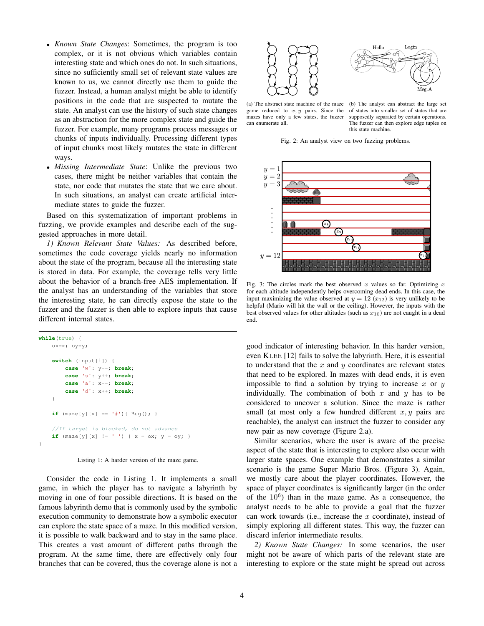- *Known State Changes*: Sometimes, the program is too complex, or it is not obvious which variables contain interesting state and which ones do not. In such situations, since no sufficiently small set of relevant state values are known to us, we cannot directly use them to guide the fuzzer. Instead, a human analyst might be able to identify positions in the code that are suspected to mutate the state. An analyst can use the history of such state changes as an abstraction for the more complex state and guide the fuzzer. For example, many programs process messages or chunks of inputs individually. Processing different types of input chunks most likely mutates the state in different ways.
- *Missing Intermediate State*: Unlike the previous two cases, there might be neither variables that contain the state, nor code that mutates the state that we care about. In such situations, an analyst can create artificial intermediate states to guide the fuzzer.

Based on this systematization of important problems in fuzzing, we provide examples and describe each of the suggested approaches in more detail.

*1) Known Relevant State Values:* As described before, sometimes the code coverage yields nearly no information about the state of the program, because all the interesting state is stored in data. For example, the coverage tells very little about the behavior of a branch-free AES implementation. If the analyst has an understanding of the variables that store the interesting state, he can directly expose the state to the fuzzer and the fuzzer is then able to explore inputs that cause different internal states.

```
while(true) {
    ox=x; oy=y;
    switch (input[i]) {
         case 'w': y--; break;
         case 's': y++; break;
         case 'a': x--; break;
         case 'd': x++; break;
    }
    if (\text{maxe}[y][x] == ' \#') { Bug(); }
    //If target is blocked, do not advance
    if (\text{maze}[y][x] := ' ' ) \{ x = \text{ox}; y = \text{oy}; \}}
```
Listing 1: A harder version of the maze game.

Consider the code in Listing 1. It implements a small game, in which the player has to navigate a labyrinth by moving in one of four possible directions. It is based on the famous labyrinth demo that is commonly used by the symbolic execution community to demonstrate how a symbolic executor can explore the state space of a maze. In this modified version, it is possible to walk backward and to stay in the same place. This creates a vast amount of different paths through the program. At the same time, there are effectively only four branches that can be covered, thus the coverage alone is not a



(a) The abstract state machine of the maze game reduced to  $x, y$  pairs. Since the mazes have only a few states, the fuzzer can enumerate all.

(b) The analyst can abstract the large set of states into smaller set of states that are supposedly separated by certain operations. The fuzzer can then explore edge tuples on this state machine.

Fig. 2: An analyst view on two fuzzing problems.



Fig. 3: The circles mark the best observed x values so far. Optimizing x for each altitude independently helps overcoming dead ends. In this case, the input maximizing the value observed at  $y = 12 (x_{12})$  is very unlikely to be helpful (Mario will hit the wall or the ceiling). However, the inputs with the best observed values for other altitudes (such as  $x_{10}$ ) are not caught in a dead end.

good indicator of interesting behavior. In this harder version, even KLEE [12] fails to solve the labyrinth. Here, it is essential to understand that the  $x$  and  $y$  coordinates are relevant states that need to be explored. In mazes with dead ends, it is even impossible to find a solution by trying to increase x or  $y$ individually. The combination of both x and y has to be considered to uncover a solution. Since the maze is rather small (at most only a few hundred different  $x, y$  pairs are reachable), the analyst can instruct the fuzzer to consider any new pair as new coverage (Figure 2.a).

Similar scenarios, where the user is aware of the precise aspect of the state that is interesting to explore also occur with larger state spaces. One example that demonstrates a similar scenario is the game Super Mario Bros. (Figure 3). Again, we mostly care about the player coordinates. However, the space of player coordinates is significantly larger (in the order of the  $10^6$ ) than in the maze game. As a consequence, the analyst needs to be able to provide a goal that the fuzzer can work towards (i.e., increase the  $x$  coordinate), instead of simply exploring all different states. This way, the fuzzer can discard inferior intermediate results.

*2) Known State Changes:* In some scenarios, the user might not be aware of which parts of the relevant state are interesting to explore or the state might be spread out across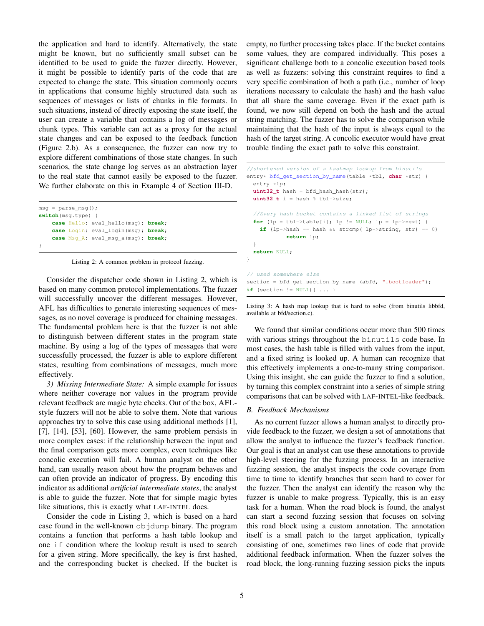the application and hard to identify. Alternatively, the state might be known, but no sufficiently small subset can be identified to be used to guide the fuzzer directly. However, it might be possible to identify parts of the code that are expected to change the state. This situation commonly occurs in applications that consume highly structured data such as sequences of messages or lists of chunks in file formats. In such situations, instead of directly exposing the state itself, the user can create a variable that contains a log of messages or chunk types. This variable can act as a proxy for the actual state changes and can be exposed to the feedback function (Figure 2.b). As a consequence, the fuzzer can now try to explore different combinations of those state changes. In such scenarios, the state change log serves as an abstraction layer to the real state that cannot easily be exposed to the fuzzer. We further elaborate on this in Example 4 of Section III-D.

```
msg = parse_msg();
switch(msg.type) {
   case Hello: eval_hello(msg); break;
   case Login: eval_login(msg); break;
   case Msg_A: eval_msg_a(msg); break;
}
```
Listing 2: A common problem in protocol fuzzing.

Consider the dispatcher code shown in Listing 2, which is based on many common protocol implementations. The fuzzer will successfully uncover the different messages. However, AFL has difficulties to generate interesting sequences of messages, as no novel coverage is produced for chaining messages. The fundamental problem here is that the fuzzer is not able to distinguish between different states in the program state machine. By using a log of the types of messages that were successfully processed, the fuzzer is able to explore different states, resulting from combinations of messages, much more effectively.

*3) Missing Intermediate State:* A simple example for issues where neither coverage nor values in the program provide relevant feedback are magic byte checks. Out of the box, AFLstyle fuzzers will not be able to solve them. Note that various approaches try to solve this case using additional methods [1], [7], [14], [53], [60]. However, the same problem persists in more complex cases: if the relationship between the input and the final comparison gets more complex, even techniques like concolic execution will fail. A human analyst on the other hand, can usually reason about how the program behaves and can often provide an indicator of progress. By encoding this indicator as additional *artificial intermediate states*, the analyst is able to guide the fuzzer. Note that for simple magic bytes like situations, this is exactly what LAF-INTEL does.

Consider the code in Listing 3, which is based on a hard case found in the well-known objdump binary. The program contains a function that performs a hash table lookup and one if condition where the lookup result is used to search for a given string. More specifically, the key is first hashed, and the corresponding bucket is checked. If the bucket is empty, no further processing takes place. If the bucket contains some values, they are compared individually. This poses a significant challenge both to a concolic execution based tools as well as fuzzers: solving this constraint requires to find a very specific combination of both a path (i.e., number of loop iterations necessary to calculate the hash) and the hash value that all share the same coverage. Even if the exact path is found, we now still depend on both the hash and the actual string matching. The fuzzer has to solve the comparison while maintaining that the hash of the input is always equal to the hash of the target string. A concolic executor would have great trouble finding the exact path to solve this constraint.

```
//shortened version of a hashmap lookup from binutils
entry* bfd_get_section_by_name(table *tbl, char *str) {
  entry *lp;
  uint32_t hash = bfd_hash_hash(str);
  uint32 t i = hash % tbl->size;
  //Every hash bucket contains a linked list of strings
  for (\text{lp} = \text{tbl}->table[i]; \text{lp} := \text{NULL}; \text{lp} = \text{lp}->next) {
    if (lp-\lambda) ash == hash && strcmp( lp-\lambdastring, str) == 0)
             return lp;
  }
  return NULL;
}
// used somewhere else
section = bfd_get_section_by_name (abfd, ".bootloader");
if (section != NULL) { ... }
```
Listing 3: A hash map lookup that is hard to solve (from binutils libbfd, available at bfd/section.c).

We found that similar conditions occur more than 500 times with various strings throughout the binutils code base. In most cases, the hash table is filled with values from the input, and a fixed string is looked up. A human can recognize that this effectively implements a one-to-many string comparison. Using this insight, she can guide the fuzzer to find a solution, by turning this complex constraint into a series of simple string comparisons that can be solved with LAF-INTEL-like feedback.

#### *B. Feedback Mechanisms*

As no current fuzzer allows a human analyst to directly provide feedback to the fuzzer, we design a set of annotations that allow the analyst to influence the fuzzer's feedback function. Our goal is that an analyst can use these annotations to provide high-level steering for the fuzzing process. In an interactive fuzzing session, the analyst inspects the code coverage from time to time to identify branches that seem hard to cover for the fuzzer. Then the analyst can identify the reason why the fuzzer is unable to make progress. Typically, this is an easy task for a human. When the road block is found, the analyst can start a second fuzzing session that focuses on solving this road block using a custom annotation. The annotation itself is a small patch to the target application, typically consisting of one, sometimes two lines of code that provide additional feedback information. When the fuzzer solves the road block, the long-running fuzzing session picks the inputs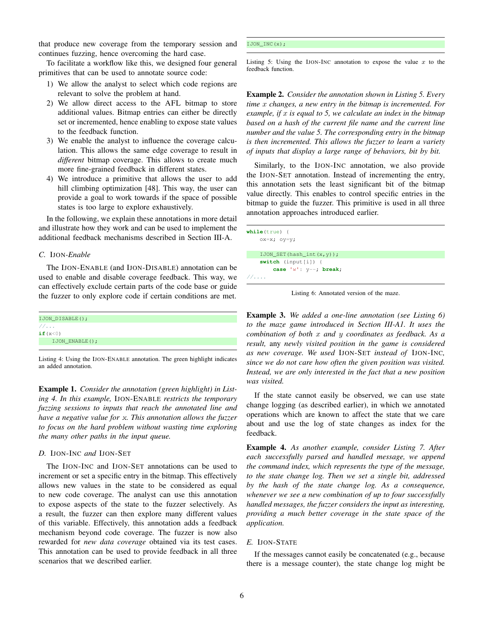that produce new coverage from the temporary session and continues fuzzing, hence overcoming the hard case.

To facilitate a workflow like this, we designed four general primitives that can be used to annotate source code:

- 1) We allow the analyst to select which code regions are relevant to solve the problem at hand.
- 2) We allow direct access to the AFL bitmap to store additional values. Bitmap entries can either be directly set or incremented, hence enabling to expose state values to the feedback function.
- 3) We enable the analyst to influence the coverage calculation. This allows the same edge coverage to result in *different* bitmap coverage. This allows to create much more fine-grained feedback in different states.
- 4) We introduce a primitive that allows the user to add hill climbing optimization [48]. This way, the user can provide a goal to work towards if the space of possible states is too large to explore exhaustively.

In the following, we explain these annotations in more detail and illustrate how they work and can be used to implement the additional feedback mechanisms described in Section III-A.

## *C.* IJON*-Enable*

The IJON-ENABLE (and IJON-DISABLE) annotation can be used to enable and disable coverage feedback. This way, we can effectively exclude certain parts of the code base or guide the fuzzer to only explore code if certain conditions are met.

| 1/3            |  |
|----------------|--|
| if $(x<0)$     |  |
| IJON ENABLE(); |  |

Listing 4: Using the IJON-ENABLE annotation. The green highlight indicates an added annotation.

Example 1. *Consider the annotation (green highlight) in Listing 4. In this example,* IJON-ENABLE *restricts the temporary fuzzing sessions to inputs that reach the annotated line and have a negative value for* x*. This annotation allows the fuzzer to focus on the hard problem without wasting time exploring the many other paths in the input queue.*

# *D.* IJON-INC *and* IJON-SET

The IJON-INC and IJON-SET annotations can be used to increment or set a specific entry in the bitmap. This effectively allows new values in the state to be considered as equal to new code coverage. The analyst can use this annotation to expose aspects of the state to the fuzzer selectively. As a result, the fuzzer can then explore many different values of this variable. Effectively, this annotation adds a feedback mechanism beyond code coverage. The fuzzer is now also rewarded for *new data coverage* obtained via its test cases. This annotation can be used to provide feedback in all three scenarios that we described earlier.

## IJON\_INC(x);

Listing 5: Using the IJON-INC annotation to expose the value  $x$  to the feedback function.

Example 2. *Consider the annotation shown in Listing 5. Every time* x *changes, a new entry in the bitmap is incremented. For example, if* x *is equal to 5, we calculate an index in the bitmap based on a hash of the current file name and the current line number and the value 5. The corresponding entry in the bitmap is then incremented. This allows the fuzzer to learn a variety of inputs that display a large range of behaviors, bit by bit.*

Similarly, to the IJON-INC annotation, we also provide the IJON-SET annotation. Instead of incrementing the entry, this annotation sets the least significant bit of the bitmap value directly. This enables to control specific entries in the bitmap to guide the fuzzer. This primitive is used in all three annotation approaches introduced earlier.

|    | $while(true) { }$           |
|----|-----------------------------|
|    | $o x = x; o y = y;$         |
|    |                             |
|    | $I$ JON_SET(hash_int(x,y)); |
|    | switch (input[i]) {         |
|    | case $'w': y--; break;$     |
| 11 |                             |

Listing 6: Annotated version of the maze.

Example 3. *We added a one-line annotation (see Listing 6) to the maze game introduced in Section III-A1. It uses the combination of both* x *and* y *coordinates as feedback. As a result,* any *newly visited position in the game is considered as new coverage. We used* IJON-SET *instead of* IJON-INC*, since we do not care how often the given position was visited. Instead, we are only interested in the fact that a new position was visited.*

If the state cannot easily be observed, we can use state change logging (as described earlier), in which we annotated operations which are known to affect the state that we care about and use the log of state changes as index for the feedback.

Example 4. *As another example, consider Listing 7. After each successfully parsed and handled message, we append the command index, which represents the type of the message, to the state change log. Then we set a single bit, addressed by the hash of the state change log. As a consequence, whenever we see a new combination of up to four successfully handled messages, the fuzzer considers the input as interesting, providing a much better coverage in the state space of the application.*

## *E.* IJON-STATE

If the messages cannot easily be concatenated (e.g., because there is a message counter), the state change log might be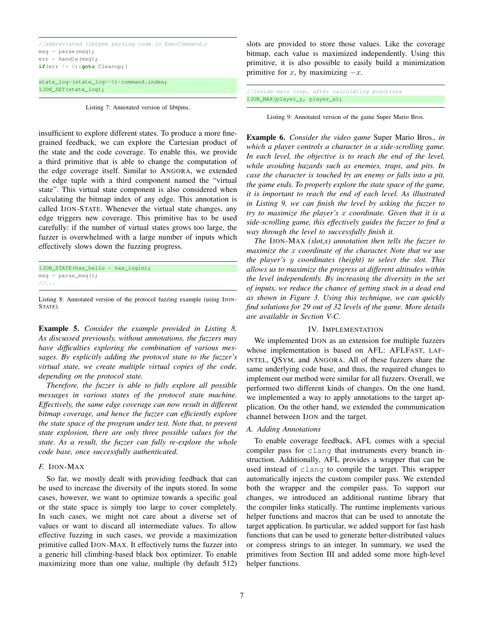//abbreviated libtpms parsing code in ExecCommand.c msg = parse(msg);  $err = handle(msq);$  $if(err := 0)$ **{**goto Cleanup; } state\_log=(state\_log<<8)+command.index; IJON\_SET(state\_log);

Listing 7: Annotated version of libtpms.

insufficient to explore different states. To produce a more finegrained feedback, we can explore the Cartesian product of the state and the code coverage. To enable this, we provide a third primitive that is able to change the computation of the edge coverage itself. Similar to ANGORA, we extended the edge tuple with a third component named the "virtual state". This virtual state component is also considered when calculating the bitmap index of any edge. This annotation is called IJON-STATE. Whenever the virtual state changes, any edge triggers new coverage. This primitive has to be used carefully: if the number of virtual states grows too large, the fuzzer is overwhelmed with a large number of inputs which effectively slows down the fuzzing progress.

```
IJON_STATE(has_hello + has_login);
msg = parse_msg();
//...
```
Listing 8: Annotated version of the protocol fuzzing example (using IJON-STATE).

Example 5. *Consider the example provided in Listing 8. As discussed previously, without annotations, the fuzzers may have difficulties exploring the combination of various messages. By explicitly adding the protocol state to the fuzzer's virtual state, we create multiple virtual copies of the code, depending on the protocol state.*

*Therefore, the fuzzer is able to fully explore all possible messages in various states of the protocol state machine. Effectively, the same edge coverage can now result in different bitmap coverage, and hence the fuzzer can efficiently explore the state space of the program under test. Note that, to prevent state explosion, there are only three possible values for the state. As a result, the fuzzer can fully re-explore the whole code base, once successfully authenticated.*

#### *F.* IJON-MAX

So far, we mostly dealt with providing feedback that can be used to increase the diversity of the inputs stored. In some cases, however, we want to optimize towards a specific goal or the state space is simply too large to cover completely. In such cases, we might not care about a diverse set of values or want to discard all intermediate values. To allow effective fuzzing in such cases, we provide a maximization primitive called IJON-MAX. It effectively turns the fuzzer into a generic hill climbing-based black box optimizer. To enable maximizing more than one value, multiple (by default 512) slots are provided to store those values. Like the coverage bitmap, each value is maximized independently. Using this primitive, it is also possible to easily build a minimization primitive for x, by maximizing  $-x$ .

|                               |  | //inside main loop, after calculating positions |  |
|-------------------------------|--|-------------------------------------------------|--|
| IJON_MAX(player_y, player_x); |  |                                                 |  |

Listing 9: Annotated version of the game Super Mario Bros.

Example 6. *Consider the video game* Super Mario Bros.*, in which a player controls a character in a side-scrolling game. In each level, the objective is to reach the end of the level, while avoiding hazards such as enemies, traps, and pits. In case the character is touched by an enemy or falls into a pit, the game ends. To properly explore the state space of the game, it is important to reach the end of each level. As illustrated in Listing 9, we can finish the level by asking the fuzzer to try to maximize the player's* x *coordinate. Given that it is a side-scrolling game, this effectively guides the fuzzer to find a way through the level to successfully finish it.*

*The* IJON-MAX *(slot,x) annotation then tells the fuzzer to maximize the* x *coordinate of the character. Note that we use the player's* y *coordinates (height) to select the slot. This allows us to maximize the progress at different altitudes within the level independently. By increasing the diversity in the set of inputs, we reduce the chance of getting stuck in a dead end as shown in Figure 3. Using this technique, we can quickly find solutions for 29 out of 32 levels of the game. More details are available in Section V-C.*

#### IV. IMPLEMENTATION

We implemented IJON as an extension for multiple fuzzers whose implementation is based on AFL: AFLFAST, LAF-INTEL, QSYM, and ANGORA. All of these fuzzers share the same underlying code base, and thus, the required changes to implement our method were similar for all fuzzers. Overall, we performed two different kinds of changes. On the one hand, we implemented a way to apply annotations to the target application. On the other hand, we extended the communication channel between IJON and the target.

#### *A. Adding Annotations*

To enable coverage feedback, AFL comes with a special compiler pass for clang that instruments every branch instruction. Additionally, AFL provides a wrapper that can be used instead of clang to compile the target. This wrapper automatically injects the custom compiler pass. We extended both the wrapper and the compiler pass. To support our changes, we introduced an additional runtime library that the compiler links statically. The runtime implements various helper functions and macros that can be used to annotate the target application. In particular, we added support for fast hash functions that can be used to generate better-distributed values or compress strings to an integer. In summary, we used the primitives from Section III and added some more high-level helper functions.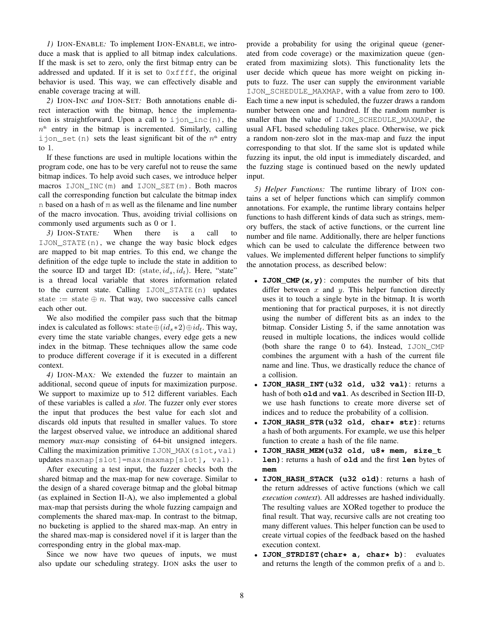*1)* IJON-ENABLE*:* To implement IJON-ENABLE, we introduce a mask that is applied to all bitmap index calculations. If the mask is set to zero, only the first bitmap entry can be addressed and updated. If it is set to  $0 \times f \in f$ , the original behavior is used. This way, we can effectively disable and enable coverage tracing at will.

*2)* IJON-INC *and* IJON-SET*:* Both annotations enable direct interaction with the bitmap, hence the implementation is straightforward. Upon a call to  $ijon\_inc(n)$ , the  $n<sup>th</sup>$  entry in the bitmap is incremented. Similarly, calling ijon\_set(n) sets the least significant bit of the  $n<sup>th</sup>$  entry to 1.

If these functions are used in multiple locations within the program code, one has to be very careful not to reuse the same bitmap indices. To help avoid such cases, we introduce helper macros IJON\_INC(m) and IJON\_SET(m). Both macros call the corresponding function but calculate the bitmap index n based on a hash of m as well as the filename and line number of the macro invocation. Thus, avoiding trivial collisions on commonly used arguments such as 0 or 1.

*3)* IJON-STATE*:* When there is a call to IJON\_STATE(n), we change the way basic block edges are mapped to bit map entries. To this end, we change the definition of the edge tuple to include the state in addition to the source ID and target ID: (state,  $id_s$ ,  $id_t$ ). Here, "state" is a thread local variable that stores information related to the current state. Calling IJON\_STATE(n) updates state := state  $oplus n$ . That way, two successive calls cancel each other out.

We also modified the compiler pass such that the bitmap index is calculated as follows: state $\oplus (id_s * 2) \oplus id_t$ . This way, every time the state variable changes, every edge gets a new index in the bitmap. These techniques allow the same code to produce different coverage if it is executed in a different context.

*4)* IJON-MAX*:* We extended the fuzzer to maintain an additional, second queue of inputs for maximization purpose. We support to maximize up to 512 different variables. Each of these variables is called a *slot*. The fuzzer only ever stores the input that produces the best value for each slot and discards old inputs that resulted in smaller values. To store the largest observed value, we introduce an additional shared memory *max-map* consisting of 64-bit unsigned integers. Calling the maximization primitive IJON MAX(slot, val) updates maxmap[slot]=max(maxmap[slot], val).

After executing a test input, the fuzzer checks both the shared bitmap and the max-map for new coverage. Similar to the design of a shared coverage bitmap and the global bitmap (as explained in Section II-A), we also implemented a global max-map that persists during the whole fuzzing campaign and complements the shared max-map. In contrast to the bitmap, no bucketing is applied to the shared max-map. An entry in the shared max-map is considered novel if it is larger than the corresponding entry in the global max-map.

Since we now have two queues of inputs, we must also update our scheduling strategy. IJON asks the user to provide a probability for using the original queue (generated from code coverage) or the maximization queue (generated from maximizing slots). This functionality lets the user decide which queue has more weight on picking inputs to fuzz. The user can supply the environment variable IJON\_SCHEDULE\_MAXMAP, with a value from zero to 100. Each time a new input is scheduled, the fuzzer draws a random number between one and hundred. If the random number is smaller than the value of IJON\_SCHEDULE\_MAXMAP, the usual AFL based scheduling takes place. Otherwise, we pick a random non-zero slot in the max-map and fuzz the input corresponding to that slot. If the same slot is updated while fuzzing its input, the old input is immediately discarded, and the fuzzing stage is continued based on the newly updated input.

*5) Helper Functions:* The runtime library of IJON contains a set of helper functions which can simplify common annotations. For example, the runtime library contains helper functions to hash different kinds of data such as strings, memory buffers, the stack of active functions, or the current line number and file name. Additionally, there are helper functions which can be used to calculate the difference between two values. We implemented different helper functions to simplify the annotation process, as described below:

- **IJON\_CMP(x,y)**: computes the number of bits that differ between  $x$  and  $y$ . This helper function directly uses it to touch a single byte in the bitmap. It is worth mentioning that for practical purposes, it is not directly using the number of different bits as an index to the bitmap. Consider Listing 5, if the same annotation was reused in multiple locations, the indices would collide (both share the range 0 to 64). Instead, IJON\_CMP combines the argument with a hash of the current file name and line. Thus, we drastically reduce the chance of a collision.
- **IJON\_HASH\_INT(u32 old, u32 val)**: returns a hash of both **old** and **val**. As described in Section III-D, we use hash functions to create more diverse set of indices and to reduce the probability of a collision.
- **IJON\_HASH\_STR(u32 old, char\* str)**: returns a hash of both arguments. For example, we use this helper function to create a hash of the file name.
- **IJON\_HASH\_MEM(u32 old, u8\* mem, size\_t len)**: returns a hash of **old** and the first **len** bytes of **mem**
- **IJON\_HASH\_STACK (u32 old)**: returns a hash of the return addresses of active functions (which we call *execution context*). All addresses are hashed individually. The resulting values are XORed together to produce the final result. That way, recursive calls are not creating too many different values. This helper function can be used to create virtual copies of the feedback based on the hashed execution context.
- **IJON\_STRDIST(char\* a, char\* b)**: evaluates and returns the length of the common prefix of a and b.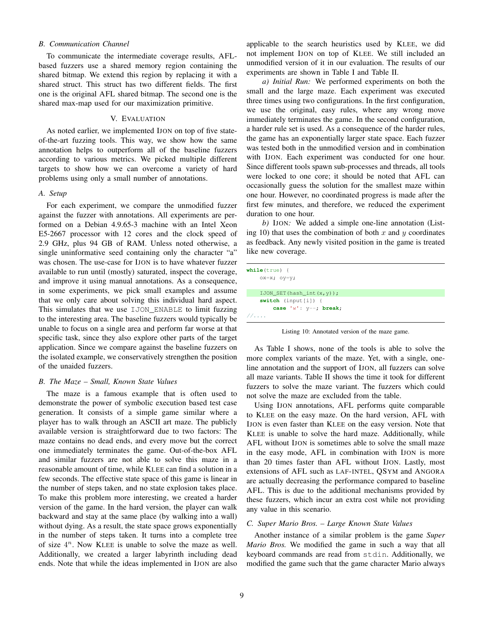# *B. Communication Channel*

To communicate the intermediate coverage results, AFLbased fuzzers use a shared memory region containing the shared bitmap. We extend this region by replacing it with a shared struct. This struct has two different fields. The first one is the original AFL shared bitmap. The second one is the shared max-map used for our maximization primitive.

## V. EVALUATION

As noted earlier, we implemented IJON on top of five stateof-the-art fuzzing tools. This way, we show how the same annotation helps to outperform all of the baseline fuzzers according to various metrics. We picked multiple different targets to show how we can overcome a variety of hard problems using only a small number of annotations.

## *A. Setup*

For each experiment, we compare the unmodified fuzzer against the fuzzer with annotations. All experiments are performed on a Debian 4.9.65-3 machine with an Intel Xeon E5-2667 processor with 12 cores and the clock speed of 2.9 GHz, plus 94 GB of RAM. Unless noted otherwise, a single uninformative seed containing only the character "a" was chosen. The use-case for IJON is to have whatever fuzzer available to run until (mostly) saturated, inspect the coverage, and improve it using manual annotations. As a consequence, in some experiments, we pick small examples and assume that we only care about solving this individual hard aspect. This simulates that we use IJON\_ENABLE to limit fuzzing to the interesting area. The baseline fuzzers would typically be unable to focus on a single area and perform far worse at that specific task, since they also explore other parts of the target application. Since we compare against the baseline fuzzers on the isolated example, we conservatively strengthen the position of the unaided fuzzers.

## *B. The Maze – Small, Known State Values*

The maze is a famous example that is often used to demonstrate the power of symbolic execution based test case generation. It consists of a simple game similar where a player has to walk through an ASCII art maze. The publicly available version is straightforward due to two factors: The maze contains no dead ends, and every move but the correct one immediately terminates the game. Out-of-the-box AFL and similar fuzzers are not able to solve this maze in a reasonable amount of time, while KLEE can find a solution in a few seconds. The effective state space of this game is linear in the number of steps taken, and no state explosion takes place. To make this problem more interesting, we created a harder version of the game. In the hard version, the player can walk backward and stay at the same place (by walking into a wall) without dying. As a result, the state space grows exponentially in the number of steps taken. It turns into a complete tree of size  $4^n$ . Now KLEE is unable to solve the maze as well. Additionally, we created a larger labyrinth including dead ends. Note that while the ideas implemented in IJON are also

applicable to the search heuristics used by KLEE, we did not implement IJON on top of KLEE. We still included an unmodified version of it in our evaluation. The results of our experiments are shown in Table I and Table II.

*a) Initial Run:* We performed experiments on both the small and the large maze. Each experiment was executed three times using two configurations. In the first configuration, we use the original, easy rules, where any wrong move immediately terminates the game. In the second configuration, a harder rule set is used. As a consequence of the harder rules, the game has an exponentially larger state space. Each fuzzer was tested both in the unmodified version and in combination with IJON. Each experiment was conducted for one hour. Since different tools spawn sub-processes and threads, all tools were locked to one core; it should be noted that AFL can occasionally guess the solution for the smallest maze within one hour. However, no coordinated progress is made after the first few minutes, and therefore, we reduced the experiment duration to one hour.

*b)* IJON*:* We added a simple one-line annotation (Listing 10) that uses the combination of both x and y coordinates as feedback. Any newly visited position in the game is treated like new coverage.

| while(true)                    |  |
|--------------------------------|--|
| $o x = x; o y = y;$            |  |
| $IJON\_SET(hash\_int(x, y))$ ; |  |
| switch $(\text{input}[i])$ {   |  |
| case ' $w'$ : $y--$ ; break;   |  |
| 11                             |  |

Listing 10: Annotated version of the maze game.

As Table I shows, none of the tools is able to solve the more complex variants of the maze. Yet, with a single, oneline annotation and the support of IJON, all fuzzers can solve all maze variants. Table II shows the time it took for different fuzzers to solve the maze variant. The fuzzers which could not solve the maze are excluded from the table.

Using IJON annotations, AFL performs quite comparable to KLEE on the easy maze. On the hard version, AFL with IJON is even faster than KLEE on the easy version. Note that KLEE is unable to solve the hard maze. Additionally, while AFL without IJON is sometimes able to solve the small maze in the easy mode, AFL in combination with IJON is more than 20 times faster than AFL without IJON. Lastly, most extensions of AFL such as LAF-INTEL, QSYM and ANGORA are actually decreasing the performance compared to baseline AFL. This is due to the additional mechanisms provided by these fuzzers, which incur an extra cost while not providing any value in this scenario.

#### *C. Super Mario Bros. – Large Known State Values*

Another instance of a similar problem is the game *Super Mario Bros.* We modified the game in such a way that all keyboard commands are read from stdin. Additionally, we modified the game such that the game character Mario always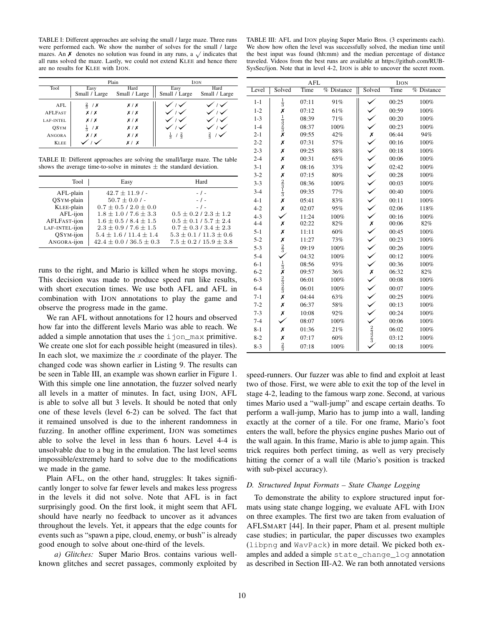TABLE I: Different approaches are solving the small / large maze. Three runs were performed each. We show the number of solves for the small / large were performed each. We show the number of solves for the small *f* large mazes. An  $\chi$  denotes no solution was found in any runs, a  $\sqrt{}$  indicates that all runs solved the maze. Lastly, we could not extend KLEE and hence there are no results for KLEE with IJON.

|                |                 | Plain         |                               | <b>IJON</b>   |
|----------------|-----------------|---------------|-------------------------------|---------------|
| Tool           | Easy            | Hard          | Easy                          | Hard          |
|                | Small / Large   | Small / Large | Small / Large                 | Small / Large |
| AFL            | $rac{2}{5}$ / X | X/X           |                               |               |
| <b>AFLFAST</b> | X/X             | X/X           |                               |               |
| LAF-INTEL      | X/X             | X/X           |                               |               |
| OSYM           | $rac{1}{3}$ / X | X/X           |                               |               |
| <b>ANGORA</b>  | X/X             | X/X           | $\frac{1}{3}$ / $\frac{2}{3}$ | $\frac{2}{5}$ |
| <b>KLEE</b>    |                 | x / x         |                               |               |

TABLE II: Different approaches are solving the small/large maze. The table shows the average time-to-solve in minutes  $\pm$  the standard deviation.

| Tool                    | Easy                                      | Hard                           |
|-------------------------|-------------------------------------------|--------------------------------|
| AFL-plain<br>OSYM-plain | $42.7 \pm 11.9$ / -<br>$50.7 \pm 0.0$ / - | $-1$ -<br>$-1 -$               |
| KLEE-plain              | $0.7 \pm 0.5 / 2.0 \pm 0.0$               | $-1$ -                         |
| AFL-ijon                | $1.8 \pm 1.0$ / $7.6 \pm 3.3$             | $0.5 \pm 0.2$ / $2.3 \pm 1.2$  |
| AFLFAST-ijon            | $1.6 \pm 0.5$ / $8.4 \pm 1.5$             | $0.5 \pm 0.1 / 5.7 \pm 2.4$    |
| LAF-INTEL-ijon          | $2.3 \pm 0.9$ / $7.6 \pm 1.5$             | $0.7 \pm 0.3$ / $3.4 \pm 2.3$  |
| OSYM-ijon               | $5.4 \pm 1.6/11.4 \pm 1.4$                | $5.3 \pm 0.1 / 11.3 \pm 0.6$   |
| ANGORA-ijon             | $42.4 \pm 0.0$ / 36.5 $\pm$ 0.3           | $7.5 \pm 0.2$ / $15.9 \pm 3.8$ |

runs to the right, and Mario is killed when he stops moving. This decision was made to produce speed run like results, with short execution times. We use both AFL and AFL in combination with IJON annotations to play the game and observe the progress made in the game.

We ran AFL without annotations for 12 hours and observed how far into the different levels Mario was able to reach. We added a simple annotation that uses the ijon\_max primitive. We create one slot for each possible height (measured in tiles). In each slot, we maximize the  $x$  coordinate of the player. The changed code was shown earlier in Listing 9. The results can be seen in Table III, an example was shown earlier in Figure 1. With this simple one line annotation, the fuzzer solved nearly all levels in a matter of minutes. In fact, using IJON, AFL is able to solve all but 3 levels. It should be noted that only one of these levels (level 6-2) can be solved. The fact that it remained unsolved is due to the inherent randomness in fuzzing. In another offline experiment, IJON was sometimes able to solve the level in less than 6 hours. Level 4-4 is unsolvable due to a bug in the emulation. The last level seems impossible/extremely hard to solve due to the modifications we made in the game.

Plain AFL, on the other hand, struggles: It takes significantly longer to solve far fewer levels and makes less progress in the levels it did not solve. Note that AFL is in fact surprisingly good. On the first look, it might seem that AFL should have nearly no feedback to uncover as it advances throughout the levels. Yet, it appears that the edge counts for events such as "spawn a pipe, cloud, enemy, or bush" is already good enough to solve about one-third of the levels.

*a) Glitches:* Super Mario Bros. contains various wellknown glitches and secret passages, commonly exploited by

TABLE III: AFL and IJON playing Super Mario Bros. (3 experiments each). We show how often the level was successfully solved, the median time until the best input was found (hh:mm) and the median percentage of distance traveled. Videos from the best runs are available at https://github.com/RUB-SysSec/ijon. Note that in level 4-2, IJON is able to uncover the secret room.

|         |                                                                       | <b>AFL</b> |                          |                                                                                                               | <b>IJON</b> |            |
|---------|-----------------------------------------------------------------------|------------|--------------------------|---------------------------------------------------------------------------------------------------------------|-------------|------------|
| Level   | Solved                                                                | Time       | $\overline{\%}$ Distance | Solved                                                                                                        | Time        | % Distance |
| $1 - 1$ | $\frac{1}{3}$                                                         | 07:11      | 91%                      |                                                                                                               | 00:25       | 100%       |
| $1 - 2$ |                                                                       | 07:12      | 61%                      |                                                                                                               | 00:59       | 100%       |
| $1 - 3$ | $x_1$ $\frac{1}{3}$ $\frac{2}{3}$ $\frac{2}{3}$ $\frac{2}{3}$         | 08:39      | 71%                      |                                                                                                               | 00:20       | 100%       |
| $1 - 4$ |                                                                       | 08:37      | 100%                     |                                                                                                               | 00:23       | 100%       |
| $2 - 1$ |                                                                       | 09:55      | 42%                      |                                                                                                               | 06:44       | 94%        |
| $2 - 2$ | X                                                                     | 07:31      | 57%                      | x / / / / / / / / /<br>/                                                                                      | 00:16       | 100%       |
| $2 - 3$ | Х                                                                     | 09:25      | 88%                      |                                                                                                               | 00:18       | 100%       |
| $2 - 4$ | Х                                                                     | 00:31      | 65%                      |                                                                                                               | 00:06       | 100%       |
| $3-1$   | Х                                                                     | 08:16      | 33%                      |                                                                                                               | 02:42       | 100%       |
| $3 - 2$ |                                                                       | 07:15      | 80%                      |                                                                                                               | 00:28       | 100%       |
| $3 - 3$ | $x_{\frac{2}{3}}$ $\frac{1}{3}$ $x$                                   | 08:36      | 100%                     |                                                                                                               | 00:03       | 100%       |
| $3 - 4$ |                                                                       | 09:35      | 77%                      |                                                                                                               | 00:40       | 100%       |
| $4 - 1$ |                                                                       | 05:41      | 83%                      |                                                                                                               | 00:11       | 100%       |
| $4 - 2$ | Х                                                                     | 02:07      | 95%                      |                                                                                                               | 02:06       | 118%       |
| $4 - 3$ |                                                                       | 11:24      | 100%                     |                                                                                                               | 00:16       | 100%       |
| $4 - 4$ | X                                                                     | 02:22      | 82%                      |                                                                                                               | 00:06       | 82%        |
| $5 - 1$ | Х                                                                     | 11:11      | 60%                      |                                                                                                               | 00:45       | 100%       |
| $5 - 2$ |                                                                       | 11:27      | 73%                      |                                                                                                               | 00:23       | 100%       |
| $5 - 3$ | $\frac{\chi}{2}$                                                      | 09:19      | 100%                     |                                                                                                               | 00:26       | 100%       |
| $5 - 4$ |                                                                       | 04:32      | 100%                     | $\times$ $\times$ $\times$ $\times$                                                                           | 00:12       | 100%       |
| $6 - 1$ |                                                                       | 08:56      | 93%                      |                                                                                                               | 00:36       | 100%       |
| $6 - 2$ |                                                                       | 09:57      | 36%                      |                                                                                                               | 06:32       | 82%        |
| $6 - 3$ |                                                                       | 06:01      | 100%                     |                                                                                                               | 00:08       | 100%       |
| $6 - 4$ | $\frac{1}{3}$ $\frac{2}{3}$ $\frac{2}{3}$ $\frac{2}{3}$ $\frac{2}{3}$ | 06:01      | 100%                     | $\left\langle \right\rangle \left\langle \right\rangle \left\langle \right\rangle \left\langle \right\rangle$ | 00:07       | 100%       |
| $7 - 1$ |                                                                       | 04:44      | 63%                      |                                                                                                               | 00:25       | 100%       |
| $7 - 2$ | X                                                                     | 06:37      | 58%                      |                                                                                                               | 00:13       | 100%       |
| $7 - 3$ | Х                                                                     | 10:08      | 92%                      |                                                                                                               | 00:24       | 100%       |
| $7 - 4$ |                                                                       | 08:07      | 100%                     |                                                                                                               | 00:06       | 100%       |
| $8 - 1$ | Х                                                                     | 01:36      | 21%                      |                                                                                                               | 06:02       | 100%       |
| $8 - 2$ | X                                                                     | 07:17      | 60%                      | $\frac{2}{3}$                                                                                                 | 03:12       | 100%       |
| $8 - 3$ | $\frac{2}{3}$                                                         | 07:18      | 100%                     |                                                                                                               | 00:18       | 100%       |

speed-runners. Our fuzzer was able to find and exploit at least two of those. First, we were able to exit the top of the level in stage 4-2, leading to the famous warp zone. Second, at various times Mario used a "wall-jump" and escape certain deaths. To perform a wall-jump, Mario has to jump into a wall, landing exactly at the corner of a tile. For one frame, Mario's foot enters the wall, before the physics engine pushes Mario out of the wall again. In this frame, Mario is able to jump again. This trick requires both perfect timing, as well as very precisely hitting the corner of a wall tile (Mario's position is tracked with sub-pixel accuracy).

## *D. Structured Input Formats – State Change Logging*

To demonstrate the ability to explore structured input formats using state change logging, we evaluate AFL with IJON on three examples. The first two are taken from evaluation of AFLSMART [44]. In their paper, Pham et al. present multiple case studies; in particular, the paper discusses two examples (libpng and WavPack) in more detail. We picked both examples and added a simple state\_change\_log annotation as described in Section III-A2. We ran both annotated versions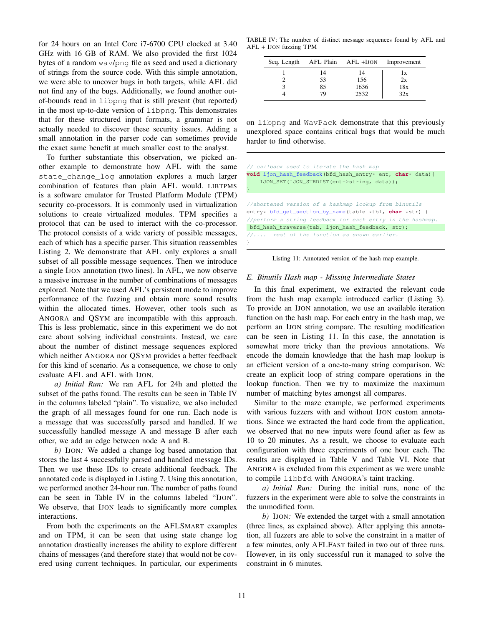for 24 hours on an Intel Core i7-6700 CPU clocked at 3.40 GHz with 16 GB of RAM. We also provided the first 1024 bytes of a random wav/png file as seed and used a dictionary of strings from the source code. With this simple annotation, we were able to uncover bugs in both targets, while AFL did not find any of the bugs. Additionally, we found another outof-bounds read in libpng that is still present (but reported) in the most up-to-date version of libpng. This demonstrates that for these structured input formats, a grammar is not actually needed to discover these security issues. Adding a small annotation in the parser code can sometimes provide the exact same benefit at much smaller cost to the analyst.

To further substantiate this observation, we picked another example to demonstrate how AFL with the same state\_change\_log annotation explores a much larger combination of features than plain AFL would. LIBTPMS is a software emulator for Trusted Platform Module (TPM) security co-processors. It is commonly used in virtualization solutions to create virtualized modules. TPM specifies a protocol that can be used to interact with the co-processor. The protocol consists of a wide variety of possible messages, each of which has a specific parser. This situation reassembles Listing 2. We demonstrate that AFL only explores a small subset of all possible message sequences. Then we introduce a single IJON annotation (two lines). In AFL, we now observe a massive increase in the number of combinations of messages explored. Note that we used AFL's persistent mode to improve performance of the fuzzing and obtain more sound results within the allocated times. However, other tools such as ANGORA and QSYM are incompatible with this approach. This is less problematic, since in this experiment we do not care about solving individual constraints. Instead, we care about the number of distinct message sequences explored which neither ANGORA nor QSYM provides a better feedback for this kind of scenario. As a consequence, we chose to only evaluate AFL and AFL with IJON.

*a) Initial Run:* We ran AFL for 24h and plotted the subset of the paths found. The results can be seen in Table IV in the columns labeled "plain". To visualize, we also included the graph of all messages found for one run. Each node is a message that was successfully parsed and handled. If we successfully handled message A and message B after each other, we add an edge between node A and B.

*b)* IJON*:* We added a change log based annotation that stores the last 4 successfully parsed and handled message IDs. Then we use these IDs to create additional feedback. The annotated code is displayed in Listing 7. Using this annotation, we performed another 24-hour run. The number of paths found can be seen in Table IV in the columns labeled "IJON". We observe, that IJON leads to significantly more complex interactions.

From both the experiments on the AFLSMART examples and on TPM, it can be seen that using state change log annotation drastically increases the ability to explore different chains of messages (and therefore state) that would not be covered using current techniques. In particular, our experiments

TABLE IV: The number of distinct message sequences found by AFL and AFL + IJON fuzzing TPM

| Seq. Length | AFL Plain AFL +IJON |      | Improvement |
|-------------|---------------------|------|-------------|
|             | 14                  | 14   | 1x          |
|             | 53                  | 156  | 2x          |
|             | 85                  | 1636 | 18x         |
|             | 79                  | 2532 | 32x         |

on libpng and WavPack demonstrate that this previously unexplored space contains critical bugs that would be much harder to find otherwise.

| // callback used to iterate the hash map                                 |
|--------------------------------------------------------------------------|
| <b>void</b> ijon_hash_feedback(bfd_hash_entry* ent, <b>char</b> * data){ |
| IJON_SET(IJON_STRDIST(ent->string, data));                               |
|                                                                          |
|                                                                          |
| //shortened version of a hashmap lookup from binutils                    |
| entry* bfd_qet_section_by_name(table *tbl, char *str) {                  |
| //perform a string feedback for each entry in the hashmap.               |
| bfd_hash_traverse(tab, ijon_hash_feedback, str);                         |
| $\sqrt{2}$ rest of the function as shown earlier.                        |
|                                                                          |

Listing 11: Annotated version of the hash map example.

## *E. Binutils Hash map - Missing Intermediate States*

In this final experiment, we extracted the relevant code from the hash map example introduced earlier (Listing 3). To provide an IJON annotation, we use an available iteration function on the hash map. For each entry in the hash map, we perform an IJON string compare. The resulting modification can be seen in Listing 11. In this case, the annotation is somewhat more tricky than the previous annotations. We encode the domain knowledge that the hash map lookup is an efficient version of a one-to-many string comparison. We create an explicit loop of string compare operations in the lookup function. Then we try to maximize the maximum number of matching bytes amongst all compares.

Similar to the maze example, we performed experiments with various fuzzers with and without IJON custom annotations. Since we extracted the hard code from the application, we observed that no new inputs were found after as few as 10 to 20 minutes. As a result, we choose to evaluate each configuration with three experiments of one hour each. The results are displayed in Table V and Table VI. Note that ANGORA is excluded from this experiment as we were unable to compile libbfd with ANGORA's taint tracking.

*a) Initial Run:* During the initial runs, none of the fuzzers in the experiment were able to solve the constraints in the unmodified form.

*b)* IJON*:* We extended the target with a small annotation (three lines, as explained above). After applying this annotation, all fuzzers are able to solve the constraint in a matter of a few minutes, only AFLFAST failed in two out of three runs. However, in its only successful run it managed to solve the constraint in 6 minutes.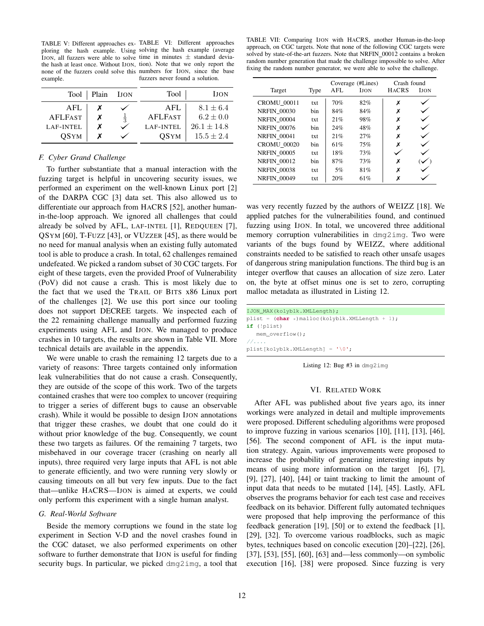TABLE V: Different approaches ex-TABLE VI: Different approaches ploring the hash example. Using solving the hash example (average IJON, all fuzzers were able to solve time in minutes  $\pm$  standard deviathe hash at least once. Without IJON, tion). Note that we only report the none of the fuzzers could solve this numbers for IJON, since the base example. fuzzers never found a solution.

| Tool           | Plain | <b>IJON</b> | Tool           | IJON            |
|----------------|-------|-------------|----------------|-----------------|
| AFI.           |       |             | AFI.           | $8.1 \pm 6.4$   |
| <b>AFLFAST</b> |       |             | <b>AFLFAST</b> | $6.2 \pm 0.0$   |
| LAF-INTEL      |       |             | LAF-INTEL      | $26.1 \pm 14.8$ |
| OSYM           |       |             | OSYM           | $15.5 \pm 2.4$  |

# *F. Cyber Grand Challenge*

To further substantiate that a manual interaction with the fuzzing target is helpful in uncovering security issues, we performed an experiment on the well-known Linux port [2] of the DARPA CGC [3] data set. This also allowed us to differentiate our approach from HACRS [52], another humanin-the-loop approach. We ignored all challenges that could already be solved by AFL, LAF-INTEL [1], REDQUEEN [7], QSYM [60], T-FUZZ [43], or VUZZER [45], as there would be no need for manual analysis when an existing fully automated tool is able to produce a crash. In total, 62 challenges remained undefeated. We picked a random subset of 30 CGC targets. For eight of these targets, even the provided Proof of Vulnerability (PoV) did not cause a crash. This is most likely due to the fact that we used the TRAIL OF BITS x86 Linux port of the challenges [2]. We use this port since our tooling does not support DECREE targets. We inspected each of the 22 remaining challenge manually and performed fuzzing experiments using AFL and IJON. We managed to produce crashes in 10 targets, the results are shown in Table VII. More technical details are available in the appendix.

We were unable to crash the remaining 12 targets due to a variety of reasons: Three targets contained only information leak vulnerabilities that do not cause a crash. Consequently, they are outside of the scope of this work. Two of the targets contained crashes that were too complex to uncover (requiring to trigger a series of different bugs to cause an observable crash). While it would be possible to design IJON annotations that trigger these crashes, we doubt that one could do it without prior knowledge of the bug. Consequently, we count these two targets as failures. Of the remaining 7 targets, two misbehaved in our coverage tracer (crashing on nearly all inputs), three required very large inputs that AFL is not able to generate efficiently, and two were running very slowly or causing timeouts on all but very few inputs. Due to the fact that—unlike HACRS—IJON is aimed at experts, we could only perform this experiment with a single human analyst.

#### *G. Real-World Software*

Beside the memory corruptions we found in the state log experiment in Section V-D and the novel crashes found in the CGC dataset, we also performed experiments on other software to further demonstrate that IJON is useful for finding security bugs. In particular, we picked dmg2img, a tool that

TABLE VII: Comparing IJON with HACRS, another Human-in-the-loop approach, on CGC targets. Note that none of the following CGC targets were solved by state-of-the-art fuzzers. Note that NRFIN\_00012 contains a broken random number generation that made the challenge impossible to solve. After fixing the random number generator, we were able to solve the challenge.

|                    |      |     | Coverage (#Lines) |              | Crash found |
|--------------------|------|-----|-------------------|--------------|-------------|
| Target             | Type | AFL | <b>LION</b>       | <b>HACRS</b> | <b>LION</b> |
| <b>CROMU 00011</b> | txt  | 70% | 82%               | х            |             |
| <b>NRFIN 00030</b> | hin  | 84% | 84%               | Х            |             |
| <b>NRFIN 00004</b> | txt  | 21% | 98%               | Х            |             |
| <b>NRFIN 00076</b> | hin  | 24% | 48%               | Х            |             |
| <b>NRFIN 00041</b> | txt  | 21% | 27%               | Х            |             |
| <b>CROMU 00020</b> | bin  | 61% | 75%               | X            |             |
| <b>NRFIN 00005</b> | txt  | 18% | 73%               |              |             |
| <b>NRFIN 00012</b> | hin  | 87% | 73%               | х            |             |
| <b>NRFIN 00038</b> | txt  | 5%  | 81%               | x            |             |
| <b>NRFIN 00049</b> | txt  | 20% | 61%               |              |             |

was very recently fuzzed by the authors of WEIZZ [18]. We applied patches for the vulnerabilities found, and continued fuzzing using IJON. In total, we uncovered three additional memory corruption vulnerabilities in dmg2img. Two were variants of the bugs found by WEIZZ, where additional constraints needed to be satisfied to reach other unsafe usages of dangerous string manipulation functions. The third bug is an integer overflow that causes an allocation of size zero. Later on, the byte at offset minus one is set to zero, corrupting malloc metadata as illustrated in Listing 12.

| IJON MAX(kolyblk.XMLLength);                      |
|---------------------------------------------------|
| plist = $(char *)$ malloc(kolyblk.XMLLength + 1); |
| $if$ (!plist)                                     |
| mem overflow();                                   |
| $\frac{1}{2}$                                     |
| $plist[kolyblk.KMLLength] = '0';$                 |

Listing 12: Bug #3 in dmg2img

## VI. RELATED WORK

After AFL was published about five years ago, its inner workings were analyzed in detail and multiple improvements were proposed. Different scheduling algorithms were proposed to improve fuzzing in various scenarios [10], [11], [13], [46], [56]. The second component of AFL is the input mutation strategy. Again, various improvements were proposed to increase the probability of generating interesting inputs by means of using more information on the target [6], [7], [9], [27], [40], [44] or taint tracking to limit the amount of input data that needs to be mutated [14], [45]. Lastly, AFL observes the programs behavior for each test case and receives feedback on its behavior. Different fully automated techniques were proposed that help improving the performance of this feedback generation [19], [50] or to extend the feedback [1], [29], [32]. To overcome various roadblocks, such as magic bytes, techniques based on concolic execution [20]–[22], [26], [37], [53], [55], [60], [63] and—less commonly—on symbolic execution [16], [38] were proposed. Since fuzzing is very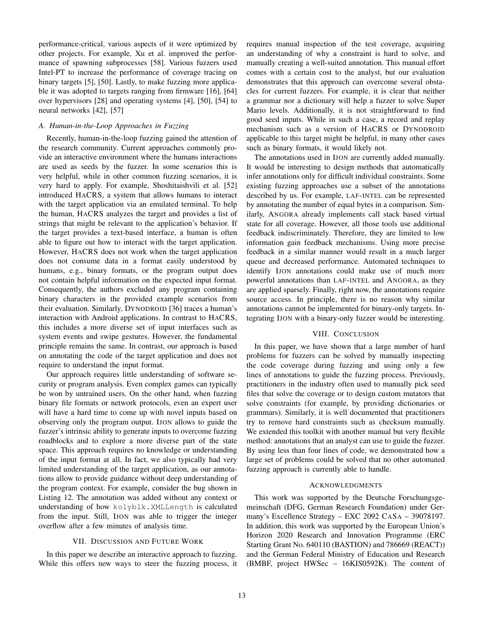performance-critical, various aspects of it were optimized by other projects. For example, Xu et al. improved the performance of spawning subprocesses [58]. Various fuzzers used Intel-PT to increase the performance of coverage tracing on binary targets [5], [50]. Lastly, to make fuzzing more applicable it was adopted to targets ranging from firmware [16], [64] over hypervisors [28] and operating systems [4], [50], [54] to neural networks [42], [57]

## *A. Human-in-the-Loop Approaches in Fuzzing*

Recently, human-in-the-loop fuzzing gained the attention of the research community. Current approaches commonly provide an interactive environment where the humans interactions are used as seeds by the fuzzer. In some scenarios this is very helpful, while in other common fuzzing scenarios, it is very hard to apply. For example, Shoshitaishvili et al. [52] introduced HACRS, a system that allows humans to interact with the target application via an emulated terminal. To help the human, HACRS analyzes the target and provides a list of strings that might be relevant to the application's behavior. If the target provides a text-based interface, a human is often able to figure out how to interact with the target application. However, HACRS does not work when the target application does not consume data in a format easily understood by humans, e.g., binary formats, or the program output does not contain helpful information on the expected input format. Consequently, the authors excluded any program containing binary characters in the provided example scenarios from their evaluation. Similarly, DYNODROID [36] traces a human's interaction with Android applications. In contrast to HACRS, this includes a more diverse set of input interfaces such as system events and swipe gestures. However, the fundamental principle remains the same. In contrast, our approach is based on annotating the code of the target application and does not require to understand the input format.

Our approach requires little understanding of software security or program analysis. Even complex games can typically be won by untrained users. On the other hand, when fuzzing binary file formats or network protocols, even an expert user will have a hard time to come up with novel inputs based on observing only the program output. IJON allows to guide the fuzzer's intrinsic ability to generate inputs to overcome fuzzing roadblocks and to explore a more diverse part of the state space. This approach requires no knowledge or understanding of the input format at all. In fact, we also typically had very limited understanding of the target application, as our annotations allow to provide guidance without deep understanding of the program context. For example, consider the bug shown in Listing 12. The annotation was added without any context or understanding of how kolyblk.XMLLength is calculated from the input. Still, IJON was able to trigger the integer overflow after a few minutes of analysis time.

#### VII. DISCUSSION AND FUTURE WORK

In this paper we describe an interactive approach to fuzzing. While this offers new ways to steer the fuzzing process, it requires manual inspection of the test coverage, acquiring an understanding of why a constraint is hard to solve, and manually creating a well-suited annotation. This manual effort comes with a certain cost to the analyst, but our evaluation demonstrates that this approach can overcome several obstacles for current fuzzers. For example, it is clear that neither a grammar nor a dictionary will help a fuzzer to solve Super Mario levels. Additionally, it is not straightforward to find good seed inputs. While in such a case, a record and replay mechanism such as a version of HACRS or DYNODROID applicable to this target might be helpful, in many other cases such as binary formats, it would likely not.

The annotations used in IJON are currently added manually. It would be interesting to design methods that automatically infer annotations only for difficult individual constraints. Some existing fuzzing approaches use a subset of the annotations described by us. For example, LAF-INTEL can be represented by annotating the number of equal bytes in a comparison. Similarly, ANGORA already implements call stack based virtual state for all coverage. However, all those tools use additional feedback indiscriminately. Therefore, they are limited to low information gain feedback mechanisms. Using more precise feedback in a similar manner would result in a much larger queue and decreased performance. Automated techniques to identify IJON annotations could make use of much more powerful annotations than LAF-INTEL and ANGORA, as they are applied sparsely. Finally, right now, the annotations require source access. In principle, there is no reason why similar annotations cannot be implemented for binary-only targets. Integrating IJON with a binary-only fuzzer would be interesting.

#### VIII. CONCLUSION

In this paper, we have shown that a large number of hard problems for fuzzers can be solved by manually inspecting the code coverage during fuzzing and using only a few lines of annotations to guide the fuzzing process. Previously, practitioners in the industry often used to manually pick seed files that solve the coverage or to design custom mutators that solve constraints (for example, by providing dictionaries or grammars). Similarly, it is well documented that practitioners try to remove hard constraints such as checksum manually. We extended this toolkit with another manual but very flexible method: annotations that an analyst can use to guide the fuzzer. By using less than four lines of code, we demonstrated how a large set of problems could be solved that no other automated fuzzing approach is currently able to handle.

#### ACKNOWLEDGMENTS

This work was supported by the Deutsche Forschungsgemeinschaft (DFG, German Research Foundation) under Germany's Excellence Strategy – EXC 2092 CASA – 39078197. In addition, this work was supported by the European Union's Horizon 2020 Research and Innovation Programme (ERC Starting Grant No. 640110 (BASTION) and 786669 (REACT)) and the German Federal Ministry of Education and Research (BMBF, project HWSec – 16KIS0592K). The content of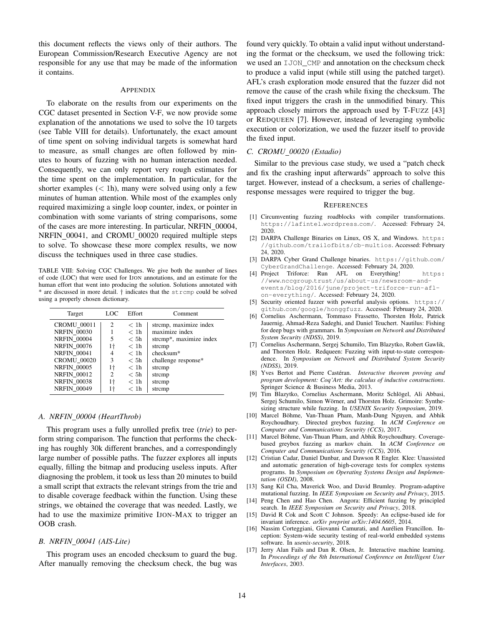this document reflects the views only of their authors. The European Commission/Research Executive Agency are not responsible for any use that may be made of the information it contains.

## APPENDIX

To elaborate on the results from our experiments on the CGC dataset presented in Section V-F, we now provide some explanation of the annotations we used to solve the 10 targets (see Table VIII for details). Unfortunately, the exact amount of time spent on solving individual targets is somewhat hard to measure, as small changes are often followed by minutes to hours of fuzzing with no human interaction needed. Consequently, we can only report very rough estimates for the time spent on the implementation. In particular, for the shorter examples  $(< 1h)$ , many were solved using only a few minutes of human attention. While most of the examples only required maximizing a single loop counter, index, or pointer in combination with some variants of string comparisons, some of the cases are more interesting. In particular, NRFIN\_00004, NRFIN 00041, and CROMU 00020 required multiple steps to solve. To showcase these more complex results, we now discuss the techniques used in three case studies.

TABLE VIII: Solving CGC Challenges. We give both the number of lines of code (LOC) that were used for IJON annotations, and an estimate for the human effort that went into producing the solution. Solutions annotated with \* are discussed in more detail. † indicates that the strcmp could be solved using a properly chosen dictionary.

| Target             | LOC            | Effort           | Comment                 |
|--------------------|----------------|------------------|-------------------------|
| <b>CROMU 00011</b> | 2              | < 1 <sub>h</sub> | strcmp, maximize index  |
| <b>NRFIN 00030</b> |                | < 1h             | maximize index          |
| <b>NRFIN 00004</b> | 5              | < 5h             | strcmp*, maximize index |
| <b>NRFIN 00076</b> | 1†             | < 1h             | strcmp                  |
| <b>NRFIN 00041</b> | 4              | < 1h             | checksum*               |
| <b>CROMU 00020</b> | 3              | < 5h             | challenge response*     |
| <b>NRFIN 00005</b> | 1†             | $<$ 1h           | strcmp                  |
| <b>NRFIN 00012</b> | $\mathfrak{D}$ | < 5h             | strcmp                  |
| <b>NRFIN 00038</b> | 1†             | < 1h             | strcmp                  |
| <b>NRFIN 00049</b> | 1†             | < 1h             | strcmp                  |

## *A. NRFIN 00004 (HeartThrob)*

This program uses a fully unrolled prefix tree (*trie*) to perform string comparison. The function that performs the checking has roughly 30k different branches, and a correspondingly large number of possible paths. The fuzzer explores all inputs equally, filling the bitmap and producing useless inputs. After diagnosing the problem, it took us less than 20 minutes to build a small script that extracts the relevant strings from the trie and to disable coverage feedback within the function. Using these strings, we obtained the coverage that was needed. Lastly, we had to use the maximize primitive IJON-MAX to trigger an OOB crash.

## *B. NRFIN 00041 (AIS-Lite)*

This program uses an encoded checksum to guard the bug. After manually removing the checksum check, the bug was found very quickly. To obtain a valid input without understanding the format or the checksum, we used the following trick: we used an IJON CMP and annotation on the checksum check to produce a valid input (while still using the patched target). AFL's crash exploration mode ensured that the fuzzer did not remove the cause of the crash while fixing the checksum. The fixed input triggers the crash in the unmodified binary. This approach closely mirrors the approach used by T-FUZZ [43] or REDQUEEN [7]. However, instead of leveraging symbolic execution or colorization, we used the fuzzer itself to provide the fixed input.

#### *C. CROMU 00020 (Estadio)*

Similar to the previous case study, we used a "patch check and fix the crashing input afterwards" approach to solve this target. However, instead of a checksum, a series of challengeresponse messages were required to trigger the bug.

#### **REFERENCES**

- [1] Circumventing fuzzing roadblocks with compiler transformations. https://lafintel.wordpress.com/. Accessed: February 24, 2020.
- [2] DARPA Challenge Binaries on Linux, OS X, and Windows. https: //github.com/trailofbits/cb-multios. Accessed: February 24, 2020.
- [3] DARPA Cyber Grand Challenge binaries. https://github.com/ CyberGrandChallenge. Accessed: February 24, 2020.
- [4] Project Triforce: Run AFL on Everything! https: //www.nccgroup.trust/us/about-us/newsroom-andevents/blog/2016/june/project-triforce-run-aflon-everything/. Accessed: February 24, 2020.
- [5] Security oriented fuzzer with powerful analysis options. https:// github.com/google/honggfuzz. Accessed: February 24, 2020.
- [6] Cornelius Aschermann, Tommaso Frassetto, Thorsten Holz, Patrick Jauernig, Ahmad-Reza Sadeghi, and Daniel Teuchert. Nautilus: Fishing for deep bugs with grammars. In *Symposium on Network and Distributed System Security (NDSS)*, 2019.
- [7] Cornelius Aschermann, Sergej Schumilo, Tim Blazytko, Robert Gawlik, and Thorsten Holz. Redqueen: Fuzzing with input-to-state correspondence. In *Symposium on Network and Distributed System Security (NDSS)*, 2019.
- [8] Yves Bertot and Pierre Castéran. *Interactive theorem proving and program development: Coq'Art: the calculus of inductive constructions*. Springer Science & Business Media, 2013.
- [9] Tim Blazytko, Cornelius Aschermann, Moritz Schlögel, Ali Abbasi, Sergej Schumilo, Simon Wörner, and Thorsten Holz. Grimoire: Synthesizing structure while fuzzing. In *USENIX Security Symposium*, 2019.
- [10] Marcel Böhme, Van-Thuan Pham, Manh-Dung Nguyen, and Abhik Roychoudhury. Directed greybox fuzzing. In *ACM Conference on Computer and Communications Security (CCS)*, 2017.
- [11] Marcel Böhme, Van-Thuan Pham, and Abhik Roychoudhury. Coveragebased greybox fuzzing as markov chain. In *ACM Conference on Computer and Communications Security (CCS)*, 2016.
- [12] Cristian Cadar, Daniel Dunbar, and Dawson R Engler. Klee: Unassisted and automatic generation of high-coverage tests for complex systems programs. In *Symposium on Operating Systems Design and Implementation (OSDI)*, 2008.
- [13] Sang Kil Cha, Maverick Woo, and David Brumley. Program-adaptive mutational fuzzing. In *IEEE Symposium on Security and Privacy*, 2015.
- [14] Peng Chen and Hao Chen. Angora: Efficient fuzzing by principled search. In *IEEE Symposium on Security and Privacy*, 2018.
- [15] David R Cok and Scott C Johnson. Speedy: An eclipse-based ide for invariant inference. *arXiv preprint arXiv:1404.6605*, 2014.
- [16] Nassim Corteggiani, Giovanni Camurati, and Aurélien Francillon. Inception: System-wide security testing of real-world embedded systems software. In *usenix-security*, 2018.
- [17] Jerry Alan Fails and Dan R. Olsen, Jr. Interactive machine learning. In *Proceedings of the 8th International Conference on Intelligent User Interfaces*, 2003.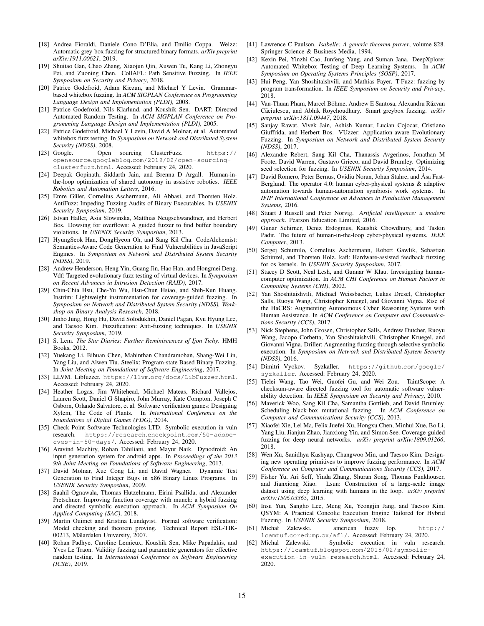- [18] Andrea Fioraldi, Daniele Cono D'Elia, and Emilio Coppa. Weizz: Automatic grey-box fuzzing for structured binary formats. *arXiv preprint arXiv:1911.00621*, 2019.
- [19] Shuitao Gan, Chao Zhang, Xiaojun Qin, Xuwen Tu, Kang Li, Zhongyu Pei, and Zuoning Chen. CollAFL: Path Sensitive Fuzzing. In *IEEE Symposium on Security and Privacy*, 2018.
- [20] Patrice Godefroid, Adam Kiezun, and Michael Y Levin. Grammarbased whitebox fuzzing. In *ACM SIGPLAN Conference on Programming Language Design and Implementation (PLDI)*, 2008.
- [21] Patrice Godefroid, Nils Klarlund, and Koushik Sen. DART: Directed Automated Random Testing. In *ACM SIGPLAN Conference on Programming Language Design and Implementation (PLDI)*, 2005.
- [22] Patrice Godefroid, Michael Y Levin, David A Molnar, et al. Automated whitebox fuzz testing. In *Symposium on Network and Distributed System Security (NDSS)*, 2008.
- [23] Google. Open sourcing ClusterFuzz. https:// opensource.googleblog.com/2019/02/open-sourcingclusterfuzz.html. Accessed: February 24, 2020.
- [24] Deepak Gopinath, Siddarth Jain, and Brenna D Argall. Human-inthe-loop optimization of shared autonomy in assistive robotics. *IEEE Robotics and Automation Letters*, 2016.
- [25] Emre Güler, Cornelius Aschermann, Ali Abbasi, and Thorsten Holz. AntiFuzz: Impeding Fuzzing Audits of Binary Executables. In *USENIX Security Symposium*, 2019.
- [26] Istvan Haller, Asia Slowinska, Matthias Neugschwandtner, and Herbert Bos. Dowsing for overflows: A guided fuzzer to find buffer boundary violations. In *USENIX Security Symposium*, 2013.
- [27] HyungSeok Han, DongHyeon Oh, and Sang Kil Cha. CodeAlchemist: Semantics-Aware Code Generation to Find Vulnerabilities in JavaScript Engines. In *Symposium on Network and Distributed System Security (NDSS)*, 2019.
- [28] Andrew Henderson, Heng Yin, Guang Jin, Hao Han, and Hongmei Deng. Vdf: Targeted evolutionary fuzz testing of virtual devices. In *Symposium on Recent Advances in Intrusion Detection (RAID)*, 2017.
- [29] Chin-Chia Hsu, Che-Yu Wu, Hsu-Chun Hsiao, and Shih-Kun Huang. Instrim: Lightweight instrumentation for coverage-guided fuzzing. In *Symposium on Network and Distributed System Security (NDSS), Workshop on Binary Analysis Research*, 2018.
- [30] Jinho Jung, Hong Hu, David Solodukhin, Daniel Pagan, Kyu Hyung Lee, and Taesoo Kim. Fuzzification: Anti-fuzzing techniques. In *USENIX Security Symposium*, 2019.
- [31] S. Lem. *The Star Diaries: Further Reminiscences of Ijon Tichy*. HMH Books, 2012.
- [32] Yuekang Li, Bihuan Chen, Mahinthan Chandramohan, Shang-Wei Lin, Yang Liu, and Alwen Tiu. Steelix: Program-state Based Binary Fuzzing. In *Joint Meeting on Foundations of Software Engineering*, 2017.
- [33] LLVM. Libfuzzer. https://llvm.org/docs/LibFuzzer.html. Accessed: February 24, 2020.
- [34] Heather Logas, Jim Whitehead, Michael Mateas, Richard Vallejos, Lauren Scott, Daniel G Shapiro, John Murray, Kate Compton, Joseph C Osborn, Orlando Salvatore, et al. Software verification games: Designing Xylem, The Code of Plants. In *International Conference on the Foundations of Digital Games (FDG)*, 2014.
- [35] Check Point Software Technologies LTD. Symbolic execution in vuln research. https://research.checkpoint.com/50-adobecves-in-50-days/. Accessed: February 24, 2020.
- [36] Aravind Machiry, Rohan Tahiliani, and Mayur Naik. Dynodroid: An input generation system for android apps. In *Proceedings of the 2013 9th Joint Meeting on Foundations of Software Engineering*, 2013.
- [37] David Molnar, Xue Cong Li, and David Wagner. Dynamic Test Generation to Find Integer Bugs in x86 Binary Linux Programs. In *USENIX Security Symposium*, 2009.
- [38] Saahil Ognawala, Thomas Hutzelmann, Eirini Psallida, and Alexander Pretschner. Improving function coverage with munch: a hybrid fuzzing and directed symbolic execution approach. In *ACM Symposium On Applied Computing (SAC)*, 2018.
- [39] Martin Ouimet and Kristina Lundqvist. Formal software verification: Model checking and theorem proving. Technical Report ESL-TIK-00213, Mälardalen University, 2007.
- [40] Rohan Padhye, Caroline Lemieux, Koushik Sen, Mike Papadakis, and Yves Le Traon. Validity fuzzing and parametric generators for effective random testing. In *International Conference on Software Engineering (ICSE)*, 2019.
- [41] Lawrence C Paulson. *Isabelle: A generic theorem prover*, volume 828. Springer Science & Business Media, 1994.
- [42] Kexin Pei, Yinzhi Cao, Junfeng Yang, and Suman Jana. DeepXplore: Automated Whitebox Testing of Deep Learning Systems. In *ACM Symposium on Operating Systems Principles (SOSP)*, 2017.
- [43] Hui Peng, Yan Shoshitaishvili, and Mathias Payer. T-Fuzz: fuzzing by program transformation. In *IEEE Symposium on Security and Privacy*, 2018.
- [44] Van-Thuan Pham, Marcel Böhme, Andrew E Santosa, Alexandru Răzvan Căciulescu, and Abhik Roychoudhury. Smart greybox fuzzing. arXiv *preprint arXiv:1811.09447*, 2018.
- [45] Sanjay Rawat, Vivek Jain, Ashish Kumar, Lucian Cojocar, Cristiano Giuffrida, and Herbert Bos. VUzzer: Application-aware Evolutionary Fuzzing. In *Symposium on Network and Distributed System Security (NDSS)*, 2017.
- [46] Alexandre Rebert, Sang Kil Cha, Thanassis Avgerinos, Jonathan M Foote, David Warren, Gustavo Grieco, and David Brumley. Optimizing seed selection for fuzzing. In *USENIX Security Symposium*, 2014.
- [47] David Romero, Peter Bernus, Ovidiu Noran, Johan Stahre, and Åsa Fast-Berglund. The operator 4.0: human cyber-physical systems & adaptive automation towards human-automation symbiosis work systems. In *IFIP International Conference on Advances in Production Management Systems*, 2016.
- [48] Stuart J Russell and Peter Norvig. *Artificial intelligence: a modern approach*. Pearson Education Limited, 2016.
- [49] Gunar Schirner, Deniz Erdogmus, Kaushik Chowdhury, and Taskin Padir. The future of human-in-the-loop cyber-physical systems. *IEEE Computer*, 2013.
- [50] Sergej Schumilo, Cornelius Aschermann, Robert Gawlik, Sebastian Schinzel, and Thorsten Holz. kafl: Hardware-assisted feedback fuzzing for os kernels. In *USENIX Security Symposium*, 2017.
- [51] Stacey D Scott, Neal Lesh, and Gunnar W Klau. Investigating humancomputer optimization. In *ACM CHI Conference on Human Factors in Computing Systems (CHI)*, 2002.
- [52] Yan Shoshitaishvili, Michael Weissbacher, Lukas Dresel, Christopher Salls, Ruoyu Wang, Christopher Kruegel, and Giovanni Vigna. Rise of the HaCRS: Augmenting Autonomous Cyber Reasoning Systems with Human Assistance. In *ACM Conference on Computer and Communications Security (CCS)*, 2017.
- [53] Nick Stephens, John Grosen, Christopher Salls, Andrew Dutcher, Ruoyu Wang, Jacopo Corbetta, Yan Shoshitaishvili, Christopher Kruegel, and Giovanni Vigna. Driller: Augmenting fuzzing through selective symbolic execution. In *Symposium on Network and Distributed System Security (NDSS)*, 2016.
- [54] Dimitri Vyokov. Syzkaller. https://github.com/google/ syzkaller. Accessed: February 24, 2020.
- [55] Tielei Wang, Tao Wei, Guofei Gu, and Wei Zou. TaintScope: A checksum-aware directed fuzzing tool for automatic software vulnerability detection. In *IEEE Symposium on Security and Privacy*, 2010.
- [56] Maverick Woo, Sang Kil Cha, Samantha Gottlieb, and David Brumley. Scheduling black-box mutational fuzzing. In *ACM Conference on Computer and Communications Security (CCS)*, 2013.
- [57] Xiaofei Xie, Lei Ma, Felix Juefei-Xu, Hongxu Chen, Minhui Xue, Bo Li, Yang Liu, Jianjun Zhao, Jianxiong Yin, and Simon See. Coverage-guided fuzzing for deep neural networks. *arXiv preprint arXiv:1809.01266*, 2018.
- [58] Wen Xu, Sanidhya Kashyap, Changwoo Min, and Taesoo Kim. Designing new operating primitives to improve fuzzing performance. In *ACM Conference on Computer and Communications Security (CCS)*, 2017.
- [59] Fisher Yu, Ari Seff, Yinda Zhang, Shuran Song, Thomas Funkhouser, and Jianxiong Xiao. Lsun: Construction of a large-scale image dataset using deep learning with humans in the loop. *arXiv preprint arXiv:1506.03365*, 2015.
- [60] Insu Yun, Sangho Lee, Meng Xu, Yeongjin Jang, and Taesoo Kim. QSYM: A Practical Concolic Execution Engine Tailored for Hybrid Fuzzing. In *USENIX Security Symposium*, 2018.
- [61] Michał Zalewski. american fuzzy lop. http:// lcamtuf.coredump.cx/afl/. Accessed: February 24, 2020.
- [62] Michal Zalewski. Symbolic execution in vuln research. https://lcamtuf.blogspot.com/2015/02/symbolicexecution-in-vuln-research.html. Accessed: February 24, 2020.